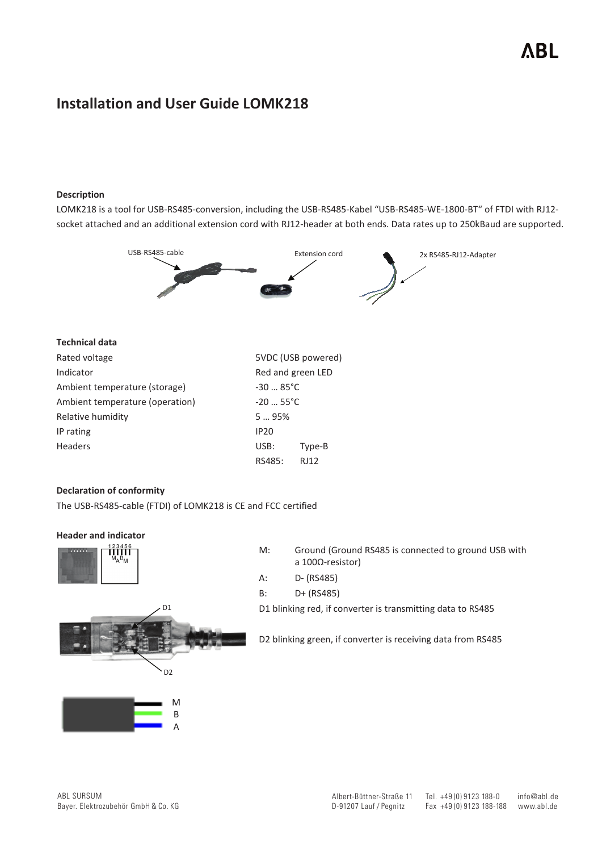# **Installation and User Guide LOMK218**

### **Description**

LOMK218 is a tool for USB-RS485-conversion, including the USB-RS485-Kabel "USB-RS485-WE-1800-BT" of FTDI with RJ12 socket attached and an additional extension cord with RJ12-header at both ends. Data rates up to 250kBaud are supported.



#### **Technical data**

| Rated voltage                                     |                   | 5VDC (USB powered) |  |  |
|---------------------------------------------------|-------------------|--------------------|--|--|
| Indicator                                         | Red and green LED |                    |  |  |
| Ambient temperature (storage)<br>$-3085^{\circ}C$ |                   |                    |  |  |
| Ambient temperature (operation)<br>$-20$ 55°C     |                   |                    |  |  |
| Relative humidity                                 | 595%              |                    |  |  |
| IP rating                                         | <b>IP20</b>       |                    |  |  |
| <b>Headers</b>                                    | USB:              | Type-B             |  |  |
|                                                   | RS485:            | RJ12               |  |  |

#### **Declaration of conformity**

The USB-RS485-cable (FTDI) of LOMK218 is CE and FCC certified

#### **Header and indicator**



| M: | Ground (Ground RS485 is connected to ground USB with |
|----|------------------------------------------------------|
|    | a $100\Omega$ -resistor)                             |
| A: | D- (RS485)                                           |

B: D+ (RS485)

D1 blinking red, if converter is transmitting data to RS485





D1